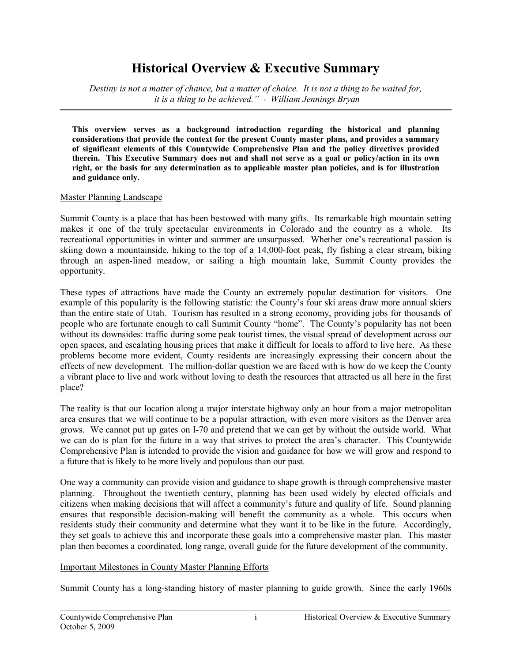# **Historical Overview & Executive Summary**

*Destiny is not a matter of chance, but a matter of choice. It is not a thing to be waited for, it is a thing to be achieved." William Jennings Bryan*

**This overview serves as a background introduction regarding the historical and planning considerations that provide the context for the present County master plans, and provides a summary of significant elements of this Countywide Comprehensive Plan and the policy directives provided therein. This Executive Summary does not and shall not serve as a goal or policy/action in its own right, or the basis for any determination as to applicable master plan policies, and is for illustration and guidance only.**

#### Master Planning Landscape

Summit County is a place that has been bestowed with many gifts. Its remarkable high mountain setting makes it one of the truly spectacular environments in Colorado and the country as a whole. Its recreational opportunities in winter and summer are unsurpassed. Whether one's recreational passion is skiing down a mountainside, hiking to the top of a 14,000-foot peak, fly fishing a clear stream, biking through an aspen-lined meadow, or sailing a high mountain lake, Summit County provides the opportunity.

These types of attractions have made the County an extremely popular destination for visitors. One example of this popularity is the following statistic: the County's four ski areas draw more annual skiers than the entire state of Utah. Tourism has resulted in a strong economy, providing jobs for thousands of people who are fortunate enough to call Summit County "home". The County's popularity has not been without its downsides: traffic during some peak tourist times, the visual spread of development across our open spaces, and escalating housing prices that make it difficult for locals to afford to live here. As these problems become more evident, County residents are increasingly expressing their concern about the effects of new development. The million-dollar question we are faced with is how do we keep the County a vibrant place to live and work without loving to death the resources that attracted us all here in the first place?

The reality is that our location along a major interstate highway only an hour from a major metropolitan area ensures that we will continue to be a popular attraction, with even more visitors as the Denver area grows. We cannot put up gates on I-70 and pretend that we can get by without the outside world. What we can do is plan for the future in a way that strives to protect the area's character. This Countywide Comprehensive Plan is intended to provide the vision and guidance for how we will grow and respond to a future that is likely to be more lively and populous than our past.

One way a community can provide vision and guidance to shape growth is through comprehensive master planning. Throughout the twentieth century, planning has been used widely by elected officials and citizens when making decisions that will affect a community's future and quality of life. Sound planning ensures that responsible decision-making will benefit the community as a whole. This occurs when residents study their community and determine what they want it to be like in the future. Accordingly, they set goals to achieve this and incorporate these goals into a comprehensive master plan. This master plan then becomes a coordinated, long range, overall guide for the future development of the community.

#### Important Milestones in County Master Planning Efforts

Summit County has a long-standing history of master planning to guide growth. Since the early 1960s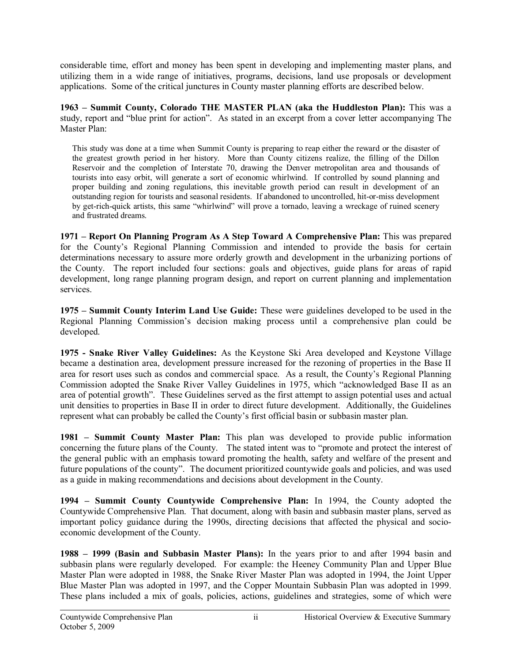considerable time, effort and money has been spent in developing and implementing master plans, and utilizing them in a wide range of initiatives, programs, decisions, land use proposals or development applications. Some of the critical junctures in County master planning efforts are described below.

**1963 – Summit County, Colorado THE MASTER PLAN (aka the Huddleston Plan):** This was a study, report and "blue print for action". As stated in an excerpt from a cover letter accompanying The Master Plan:

This study was done at a time when Summit County is preparing to reap either the reward or the disaster of the greatest growth period in her history. More than County citizens realize, the filling of the Dillon Reservoir and the completion of Interstate 70, drawing the Denver metropolitan area and thousands of tourists into easy orbit, will generate a sort of economic whirlwind. If controlled by sound planning and proper building and zoning regulations, this inevitable growth period can result in development of an outstanding region for tourists and seasonal residents. If abandoned to uncontrolled, hit-or-miss development by get-rich-quick artists, this same "whirlwind" will prove a tornado, leaving a wreckage of ruined scenery and frustrated dreams.

**1971 – Report On Planning Program As A Step Toward A Comprehensive Plan:** This was prepared for the County's Regional Planning Commission and intended to provide the basis for certain determinations necessary to assure more orderly growth and development in the urbanizing portions of the County. The report included four sections: goals and objectives, guide plans for areas of rapid development, long range planning program design, and report on current planning and implementation services.

**1975 – Summit County Interim Land Use Guide:** These were guidelines developed to be used in the Regional Planning Commission's decision making process until a comprehensive plan could be developed.

**1975 Snake River Valley Guidelines:** As the Keystone Ski Area developed and Keystone Village became a destination area, development pressure increased for the rezoning of properties in the Base II area for resort uses such as condos and commercial space. As a result, the County's Regional Planning Commission adopted the Snake River Valley Guidelines in 1975, which "acknowledged Base II as an area of potential growth". These Guidelines served as the first attempt to assign potential uses and actual unit densities to properties in Base II in order to direct future development. Additionally, the Guidelines represent what can probably be called the County's first official basin or subbasin master plan.

**1981 – Summit County Master Plan:** This plan was developed to provide public information concerning the future plans of the County. The stated intent was to "promote and protect the interest of the general public with an emphasis toward promoting the health, safety and welfare of the present and future populations of the county". The document prioritized countywide goals and policies, and was used as a guide in making recommendations and decisions about development in the County.

**1994 – Summit County Countywide Comprehensive Plan:** In 1994, the County adopted the Countywide Comprehensive Plan. That document, along with basin and subbasin master plans, served as important policy guidance during the 1990s, directing decisions that affected the physical and socioeconomic development of the County.

**1988 – 1999 (Basin and Subbasin Master Plans):** In the years prior to and after 1994 basin and subbasin plans were regularly developed. For example: the Heeney Community Plan and Upper Blue Master Plan were adopted in 1988, the Snake River Master Plan was adopted in 1994, the Joint Upper Blue Master Plan was adopted in 1997, and the Copper Mountain Subbasin Plan was adopted in 1999. These plans included a mix of goals, policies, actions, guidelines and strategies, some of which were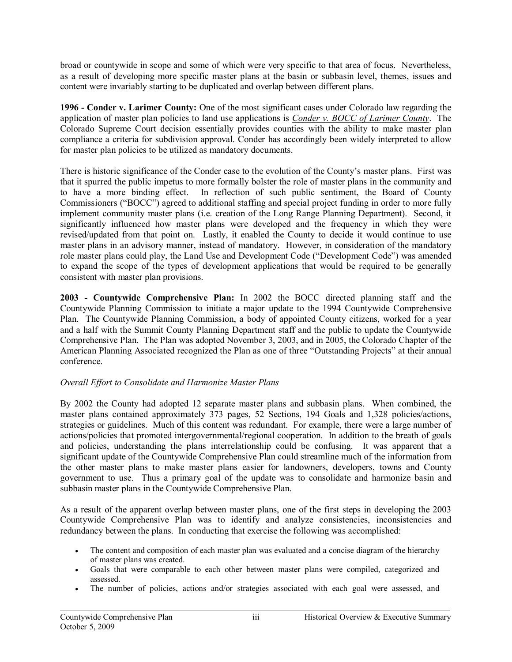broad or countywide in scope and some of which were very specific to that area of focus. Nevertheless, as a result of developing more specific master plans at the basin or subbasin level, themes, issues and content were invariably starting to be duplicated and overlap between different plans.

**1996 Conder v. Larimer County:** One of the most significant cases under Colorado law regarding the application of master plan policies to land use applications is *Conder v. BOCC of Larimer County*. The Colorado Supreme Court decision essentially provides counties with the ability to make master plan compliance a criteria for subdivision approval. Conder has accordingly been widely interpreted to allow for master plan policies to be utilized as mandatory documents.

There is historic significance of the Conder case to the evolution of the County's master plans. First was that it spurred the public impetus to more formally bolster the role of master plans in the community and to have a more binding effect. In reflection of such public sentiment, the Board of County Commissioners ("BOCC") agreed to additional staffing and special project funding in order to more fully implement community master plans (i.e. creation of the Long Range Planning Department). Second, it significantly influenced how master plans were developed and the frequency in which they were revised/updated from that point on. Lastly, it enabled the County to decide it would continue to use master plans in an advisory manner, instead of mandatory. However, in consideration of the mandatory role master plans could play, the Land Use and Development Code ("Development Code") was amended to expand the scope of the types of development applications that would be required to be generally consistent with master plan provisions.

**2003 Countywide Comprehensive Plan:** In 2002 the BOCC directed planning staff and the Countywide Planning Commission to initiate a major update to the 1994 Countywide Comprehensive Plan. The Countywide Planning Commission, a body of appointed County citizens, worked for a year and a half with the Summit County Planning Department staff and the public to update the Countywide Comprehensive Plan. The Plan was adopted November 3, 2003, and in 2005, the Colorado Chapter of the American Planning Associated recognized the Plan as one of three "Outstanding Projects" at their annual conference.

# *Overall Effort to Consolidate and Harmonize Master Plans*

By 2002 the County had adopted 12 separate master plans and subbasin plans. When combined, the master plans contained approximately 373 pages, 52 Sections, 194 Goals and 1,328 policies/actions, strategies or guidelines. Much of this content was redundant. For example, there were a large number of actions/policies that promoted intergovernmental/regional cooperation. In addition to the breath of goals and policies, understanding the plans interrelationship could be confusing. It was apparent that a significant update of the Countywide Comprehensive Plan could streamline much of the information from the other master plans to make master plans easier for landowners, developers, towns and County government to use. Thus a primary goal of the update was to consolidate and harmonize basin and subbasin master plans in the Countywide Comprehensive Plan.

As a result of the apparent overlap between master plans, one of the first steps in developing the 2003 Countywide Comprehensive Plan was to identify and analyze consistencies, inconsistencies and redundancy between the plans. In conducting that exercise the following was accomplished:

- · The content and composition of each master plan was evaluated and a concise diagram of the hierarchy of master plans was created.
- · Goals that were comparable to each other between master plans were compiled, categorized and assessed.
- · The number of policies, actions and/or strategies associated with each goal were assessed, and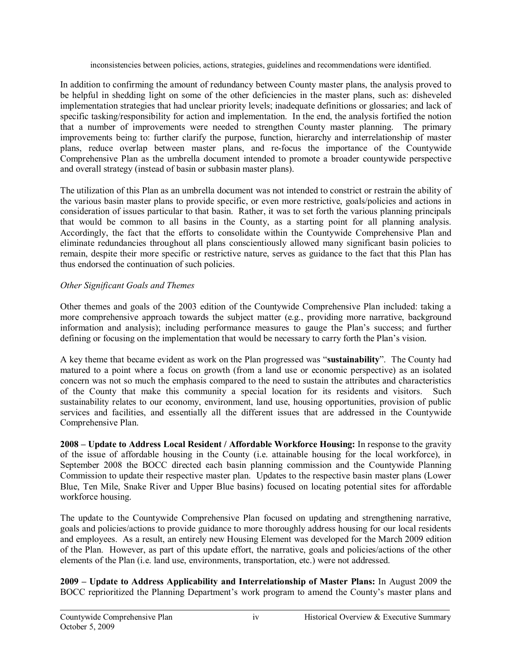inconsistencies between policies, actions, strategies, guidelines and recommendations were identified.

In addition to confirming the amount of redundancy between County master plans, the analysis proved to be helpful in shedding light on some of the other deficiencies in the master plans, such as: disheveled implementation strategies that had unclear priority levels; inadequate definitions or glossaries; and lack of specific tasking/responsibility for action and implementation. In the end, the analysis fortified the notion that a number of improvements were needed to strengthen County master planning. The primary improvements being to: further clarify the purpose, function, hierarchy and interrelationship of master plans, reduce overlap between master plans, and refocus the importance of the Countywide Comprehensive Plan as the umbrella document intended to promote a broader countywide perspective and overall strategy (instead of basin or subbasin master plans).

The utilization of this Plan as an umbrella document was not intended to constrict or restrain the ability of the various basin master plans to provide specific, or even more restrictive, goals/policies and actions in consideration of issues particular to that basin. Rather, it was to set forth the various planning principals that would be common to all basins in the County, as a starting point for all planning analysis. Accordingly, the fact that the efforts to consolidate within the Countywide Comprehensive Plan and eliminate redundancies throughout all plans conscientiously allowed many significant basin policies to remain, despite their more specific or restrictive nature, serves as guidance to the fact that this Plan has thus endorsed the continuation of such policies.

# *Other Significant Goals and Themes*

Other themes and goals of the 2003 edition of the Countywide Comprehensive Plan included: taking a more comprehensive approach towards the subject matter (e.g., providing more narrative, background information and analysis); including performance measures to gauge the Plan's success; and further defining or focusing on the implementation that would be necessary to carry forth the Plan's vision.

A key theme that became evident as work on the Plan progressed was "**sustainability**". The County had matured to a point where a focus on growth (from a land use or economic perspective) as an isolated concern was not so much the emphasis compared to the need to sustain the attributes and characteristics of the County that make this community a special location for its residents and visitors. Such sustainability relates to our economy, environment, land use, housing opportunities, provision of public services and facilities, and essentially all the different issues that are addressed in the Countywide Comprehensive Plan.

**2008 – Update to Address Local Resident / Affordable Workforce Housing:** In response to the gravity of the issue of affordable housing in the County (i.e. attainable housing for the local workforce), in September 2008 the BOCC directed each basin planning commission and the Countywide Planning Commission to update their respective master plan. Updates to the respective basin master plans (Lower Blue, Ten Mile, Snake River and Upper Blue basins) focused on locating potential sites for affordable workforce housing.

The update to the Countywide Comprehensive Plan focused on updating and strengthening narrative, goals and policies/actions to provide guidance to more thoroughly address housing for our local residents and employees. As a result, an entirely new Housing Element was developed for the March 2009 edition of the Plan. However, as part of this update effort, the narrative, goals and policies/actions of the other elements of the Plan (i.e. land use, environments, transportation, etc.) were not addressed.

**2009 – Update to Address Applicability and Interrelationship of Master Plans:** In August 2009 the BOCC reprioritized the Planning Department's work program to amend the County's master plans and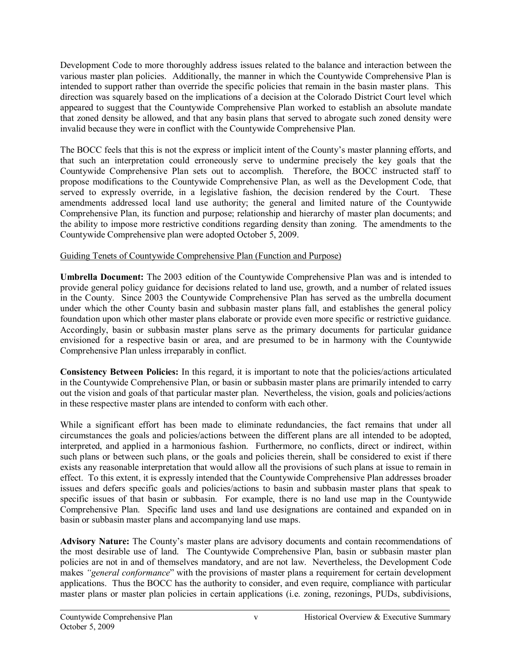Development Code to more thoroughly address issues related to the balance and interaction between the various master plan policies. Additionally, the manner in which the Countywide Comprehensive Plan is intended to support rather than override the specific policies that remain in the basin master plans. This direction was squarely based on the implications of a decision at the Colorado District Court level which appeared to suggest that the Countywide Comprehensive Plan worked to establish an absolute mandate that zoned density be allowed, and that any basin plans that served to abrogate such zoned density were invalid because they were in conflict with the Countywide Comprehensive Plan.

The BOCC feels that this is not the express or implicit intent of the County's master planning efforts, and that such an interpretation could erroneously serve to undermine precisely the key goals that the Countywide Comprehensive Plan sets out to accomplish. Therefore, the BOCC instructed staff to propose modifications to the Countywide Comprehensive Plan, as well as the Development Code, that served to expressly override, in a legislative fashion, the decision rendered by the Court. These amendments addressed local land use authority; the general and limited nature of the Countywide Comprehensive Plan, its function and purpose; relationship and hierarchy of master plan documents; and the ability to impose more restrictive conditions regarding density than zoning. The amendments to the Countywide Comprehensive plan were adopted October 5, 2009.

### Guiding Tenets of Countywide Comprehensive Plan (Function and Purpose)

**Umbrella Document:** The 2003 edition of the Countywide Comprehensive Plan was and is intended to provide general policy guidance for decisions related to land use, growth, and a number of related issues in the County. Since 2003 the Countywide Comprehensive Plan has served as the umbrella document under which the other County basin and subbasin master plans fall, and establishes the general policy foundation upon which other master plans elaborate or provide even more specific or restrictive guidance. Accordingly, basin or subbasin master plans serve as the primary documents for particular guidance envisioned for a respective basin or area, and are presumed to be in harmony with the Countywide Comprehensive Plan unless irreparably in conflict.

**Consistency Between Policies:** In this regard, it is important to note that the policies/actions articulated in the Countywide Comprehensive Plan, or basin or subbasin master plans are primarily intended to carry out the vision and goals of that particular master plan. Nevertheless, the vision, goals and policies/actions in these respective master plans are intended to conform with each other.

While a significant effort has been made to eliminate redundancies, the fact remains that under all circumstances the goals and policies/actions between the different plans are all intended to be adopted, interpreted, and applied in a harmonious fashion. Furthermore, no conflicts, direct or indirect, within such plans or between such plans, or the goals and policies therein, shall be considered to exist if there exists any reasonable interpretation that would allow all the provisions of such plans at issue to remain in effect. To this extent, it is expressly intended that the Countywide Comprehensive Plan addresses broader issues and defers specific goals and policies/actions to basin and subbasin master plans that speak to specific issues of that basin or subbasin. For example, there is no land use map in the Countywide Comprehensive Plan. Specific land uses and land use designations are contained and expanded on in basin or subbasin master plans and accompanying land use maps.

**Advisory Nature:** The County's master plans are advisory documents and contain recommendations of the most desirable use of land. The Countywide Comprehensive Plan, basin or subbasin master plan policies are not in and of themselves mandatory, and are not law. Nevertheless, the Development Code makes *"general conformance*" with the provisions of master plans a requirement for certain development applications. Thus the BOCC has the authority to consider, and even require, compliance with particular master plans or master plan policies in certain applications (i.e. zoning, rezonings, PUDs, subdivisions,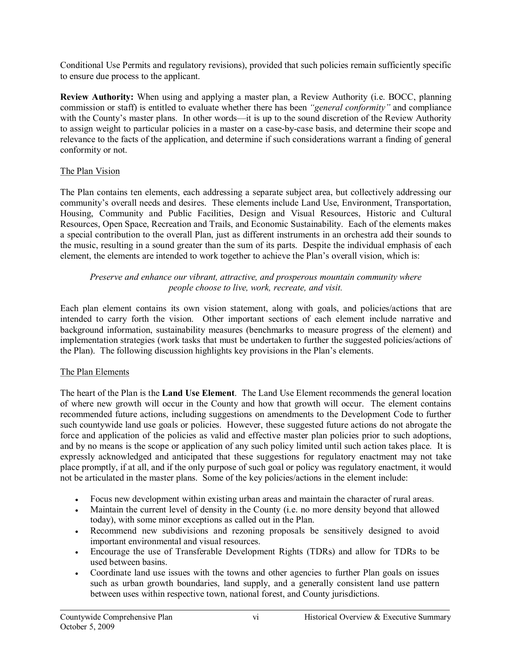Conditional Use Permits and regulatory revisions), provided that such policies remain sufficiently specific to ensure due process to the applicant.

**Review Authority:** When using and applying a master plan, a Review Authority (i.e. BOCC, planning commission or staff) is entitled to evaluate whether there has been *"general conformity"* and compliance with the County's master plans. In other words—it is up to the sound discretion of the Review Authority to assign weight to particular policies in a master on a case-by-case basis, and determine their scope and relevance to the facts of the application, and determine if such considerations warrant a finding of general conformity or not.

# The Plan Vision

The Plan contains ten elements, each addressing a separate subject area, but collectively addressing our community's overall needs and desires. These elements include Land Use, Environment, Transportation, Housing, Community and Public Facilities, Design and Visual Resources, Historic and Cultural Resources, Open Space, Recreation and Trails, and Economic Sustainability. Each of the elements makes a special contribution to the overall Plan, just as different instruments in an orchestra add their sounds to the music, resulting in a sound greater than the sum of its parts. Despite the individual emphasis of each element, the elements are intended to work together to achieve the Plan's overall vision, which is:

# *Preserve and enhance our vibrant, attractive, and prosperous mountain community where people choose to live, work, recreate, and visit.*

Each plan element contains its own vision statement, along with goals, and policies/actions that are intended to carry forth the vision. Other important sections of each element include narrative and background information, sustainability measures (benchmarks to measure progress of the element) and implementation strategies (work tasks that must be undertaken to further the suggested policies/actions of the Plan). The following discussion highlights key provisions in the Plan's elements.

# The Plan Elements

The heart of the Plan is the **Land Use Element**. The Land Use Element recommends the general location of where new growth will occur in the County and how that growth will occur. The element contains recommended future actions, including suggestions on amendments to the Development Code to further such countywide land use goals or policies. However, these suggested future actions do not abrogate the force and application of the policies as valid and effective master plan policies prior to such adoptions, and by no means is the scope or application of any such policy limited until such action takes place. It is expressly acknowledged and anticipated that these suggestions for regulatory enactment may not take place promptly, if at all, and if the only purpose of such goal or policy was regulatory enactment, it would not be articulated in the master plans. Some of the key policies/actions in the element include:

- · Focus new development within existing urban areas and maintain the character of rural areas.
- Maintain the current level of density in the County (i.e. no more density beyond that allowed today), with some minor exceptions as called out in the Plan.
- · Recommend new subdivisions and rezoning proposals be sensitively designed to avoid important environmental and visual resources.
- · Encourage the use of Transferable Development Rights (TDRs) and allow for TDRs to be used between basins.
- · Coordinate land use issues with the towns and other agencies to further Plan goals on issues such as urban growth boundaries, land supply, and a generally consistent land use pattern between uses within respective town, national forest, and County jurisdictions.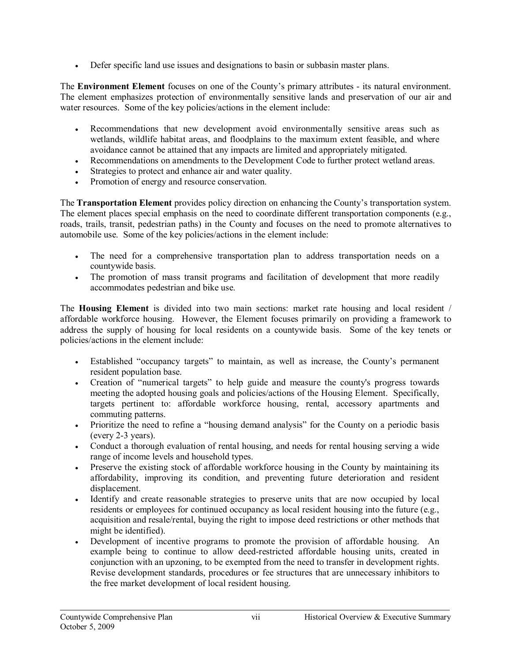· Defer specific land use issues and designations to basin or subbasin master plans.

The **Environment Element** focuses on one of the County's primary attributes - its natural environment. The element emphasizes protection of environmentally sensitive lands and preservation of our air and water resources. Some of the key policies/actions in the element include:

- · Recommendations that new development avoid environmentally sensitive areas such as wetlands, wildlife habitat areas, and floodplains to the maximum extent feasible, and where avoidance cannot be attained that any impacts are limited and appropriately mitigated.
- · Recommendations on amendments to the Development Code to further protect wetland areas.
- · Strategies to protect and enhance air and water quality.
- Promotion of energy and resource conservation.

The **Transportation Element** provides policy direction on enhancing the County's transportation system. The element places special emphasis on the need to coordinate different transportation components (e.g., roads, trails, transit, pedestrian paths) in the County and focuses on the need to promote alternatives to automobile use. Some of the key policies/actions in the element include:

- · The need for a comprehensive transportation plan to address transportation needs on a countywide basis.
- The promotion of mass transit programs and facilitation of development that more readily accommodates pedestrian and bike use.

The **Housing Element** is divided into two main sections: market rate housing and local resident / affordable workforce housing. However, the Element focuses primarily on providing a framework to address the supply of housing for local residents on a countywide basis. Some of the key tenets or policies/actions in the element include:

- · Established "occupancy targets" to maintain, as well as increase, the County's permanent resident population base.
- · Creation of "numerical targets" to help guide and measure the county's progress towards meeting the adopted housing goals and policies/actions of the Housing Element. Specifically, targets pertinent to: affordable workforce housing, rental, accessory apartments and commuting patterns.
- Prioritize the need to refine a "housing demand analysis" for the County on a periodic basis  $(every 2-3 years)$ .
- · Conduct a thorough evaluation of rental housing, and needs for rental housing serving a wide range of income levels and household types.
- · Preserve the existing stock of affordable workforce housing in the County by maintaining its affordability, improving its condition, and preventing future deterioration and resident displacement.
- · Identify and create reasonable strategies to preserve units that are now occupied by local residents or employees for continued occupancy as local resident housing into the future (e.g., acquisition and resale/rental, buying the right to impose deed restrictions or other methods that might be identified).
- Development of incentive programs to promote the provision of affordable housing. An example being to continue to allow deed-restricted affordable housing units, created in conjunction with an upzoning, to be exempted from the need to transfer in development rights. Revise development standards, procedures or fee structures that are unnecessary inhibitors to the free market development of local resident housing.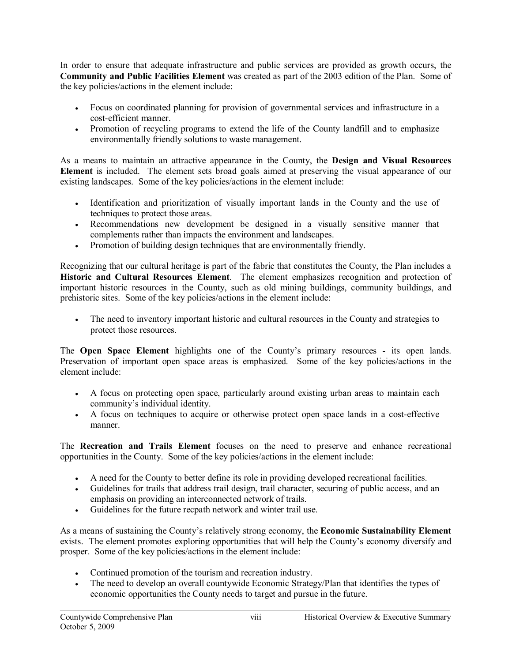In order to ensure that adequate infrastructure and public services are provided as growth occurs, the **Community and Public Facilities Element** was created as part of the 2003 edition of the Plan. Some of the key policies/actions in the element include:

- · Focus on coordinated planning for provision of governmental services and infrastructure in a cost-efficient manner.
- · Promotion of recycling programs to extend the life of the County landfill and to emphasize environmentally friendly solutions to waste management.

As a means to maintain an attractive appearance in the County, the **Design and Visual Resources Element** is included. The element sets broad goals aimed at preserving the visual appearance of our existing landscapes. Some of the key policies/actions in the element include:

- · Identification and prioritization of visually important lands in the County and the use of techniques to protect those areas.
- · Recommendations new development be designed in a visually sensitive manner that complements rather than impacts the environment and landscapes.
- · Promotion of building design techniques that are environmentally friendly.

Recognizing that our cultural heritage is part of the fabric that constitutes the County, the Plan includes a **Historic and Cultural Resources Element**. The element emphasizes recognition and protection of important historic resources in the County, such as old mining buildings, community buildings, and prehistoric sites. Some of the key policies/actions in the element include:

· The need to inventory important historic and cultural resources in the County and strategies to protect those resources.

The **Open Space Element** highlights one of the County's primary resources its open lands. Preservation of important open space areas is emphasized. Some of the key policies/actions in the element include:

- · A focus on protecting open space, particularly around existing urban areas to maintain each community's individual identity.
- · A focus on techniques to acquire or otherwise protect open space lands in a costeffective manner.

The **Recreation and Trails Element** focuses on the need to preserve and enhance recreational opportunities in the County. Some of the key policies/actions in the element include:

- · A need for the County to better define its role in providing developed recreational facilities.
- · Guidelines for trails that address trail design, trail character, securing of public access, and an emphasis on providing an interconnected network of trails.
- Guidelines for the future recpath network and winter trail use.

As a means of sustaining the County's relatively strong economy, the **Economic Sustainability Element** exists. The element promotes exploring opportunities that will help the County's economy diversify and prosper. Some of the key policies/actions in the element include:

- · Continued promotion of the tourism and recreation industry.
- The need to develop an overall countywide Economic Strategy/Plan that identifies the types of economic opportunities the County needs to target and pursue in the future.